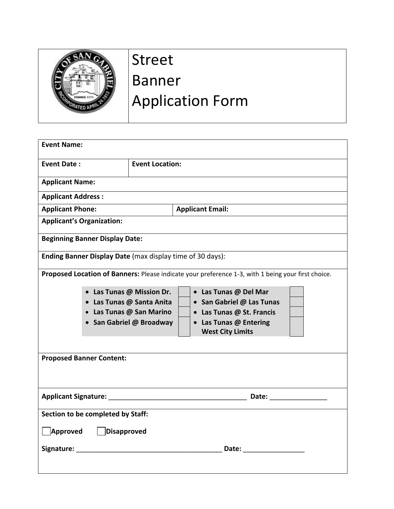

## Street Banner Application Form

| <b>Event Name:</b>                                                                                                  |                                                                                                              |
|---------------------------------------------------------------------------------------------------------------------|--------------------------------------------------------------------------------------------------------------|
| <b>Event Date:</b>                                                                                                  | <b>Event Location:</b>                                                                                       |
| <b>Applicant Name:</b>                                                                                              |                                                                                                              |
| <b>Applicant Address:</b>                                                                                           |                                                                                                              |
| <b>Applicant Phone:</b>                                                                                             | <b>Applicant Email:</b>                                                                                      |
| <b>Applicant's Organization:</b>                                                                                    |                                                                                                              |
| <b>Beginning Banner Display Date:</b>                                                                               |                                                                                                              |
| Ending Banner Display Date (max display time of 30 days):                                                           |                                                                                                              |
| Proposed Location of Banners: Please indicate your preference 1-3, with 1 being your first choice.                  |                                                                                                              |
|                                                                                                                     | • Las Tunas @ Mission Dr.<br>• Las Tunas @ Del Mar<br>• Las Tunas @ Santa Anita<br>• San Gabriel @ Las Tunas |
|                                                                                                                     | • Las Tunas @ San Marino<br>• Las Tunas @ St. Francis                                                        |
|                                                                                                                     | • Las Tunas @ Entering<br>• San Gabriel @ Broadway<br><b>West City Limits</b>                                |
|                                                                                                                     |                                                                                                              |
| <b>Proposed Banner Content:</b>                                                                                     |                                                                                                              |
|                                                                                                                     |                                                                                                              |
|                                                                                                                     | <b>Applicant Signature:</b> Applicant Signature:<br>Date: _________________                                  |
| Section to be completed by Staff:                                                                                   |                                                                                                              |
| Approved<br>$\vert$ Disapproved                                                                                     |                                                                                                              |
| Signature: The Commission of the Commission of the Commission of the Commission of the Commission of the Commission | Date: <u>____________________</u>                                                                            |
|                                                                                                                     |                                                                                                              |